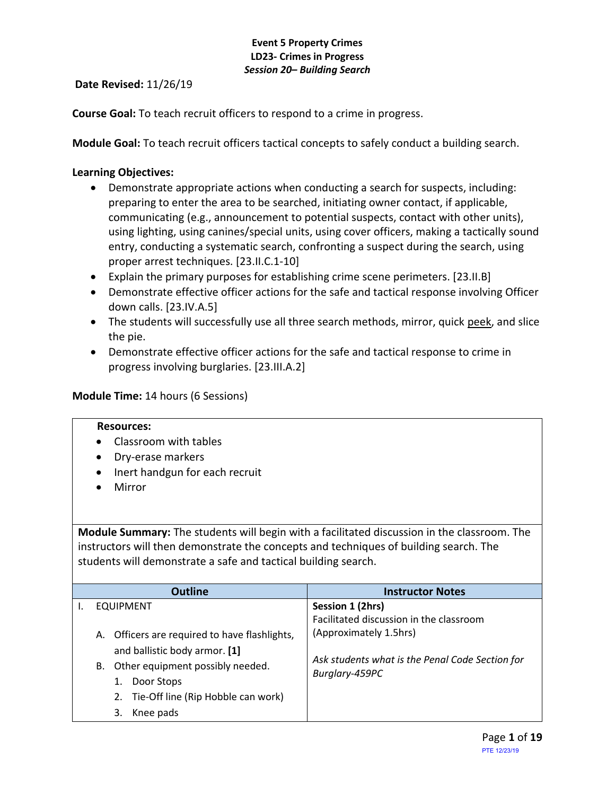**Date Revised:** 11/26/19

**Course Goal:** To teach recruit officers to respond to a crime in progress.

**Module Goal:** To teach recruit officers tactical concepts to safely conduct a building search.

## **Learning Objectives:**

- Demonstrate appropriate actions when conducting a search for suspects, including: preparing to enter the area to be searched, initiating owner contact, if applicable, communicating (e.g., announcement to potential suspects, contact with other units), using lighting, using canines/special units, using cover officers, making a tactically sound entry, conducting a systematic search, confronting a suspect during the search, using proper arrest techniques. [23.II.C.1-10]
- Explain the primary purposes for establishing crime scene perimeters. [23.II.B]
- Demonstrate effective officer actions for the safe and tactical response involving Officer down calls. [23.IV.A.5]
- The students will successfully use all three search methods, mirror, quick peek, and slice the pie.
- Demonstrate effective officer actions for the safe and tactical response to crime in progress involving burglaries. [23.III.A.2]

### **Module Time:** 14 hours (6 Sessions)

#### **Resources:**

- Classroom with tables
- Dry-erase markers
- Inert handgun for each recruit
- Mirror

**Module Summary:** The students will begin with a facilitated discussion in the classroom. The instructors will then demonstrate the concepts and techniques of building search. The students will demonstrate a safe and tactical building search.

| <b>Outline</b>                                | <b>Instructor Notes</b>                         |
|-----------------------------------------------|-------------------------------------------------|
| <b>EQUIPMENT</b>                              | Session 1 (2hrs)                                |
|                                               | Facilitated discussion in the classroom         |
| A. Officers are required to have flashlights, | (Approximately 1.5hrs)                          |
| and ballistic body armor. [1]                 |                                                 |
| Other equipment possibly needed.<br>В.        | Ask students what is the Penal Code Section for |
| Door Stops                                    | Burglary-459PC                                  |
| 2. Tie-Off line (Rip Hobble can work)         |                                                 |
| Knee pads<br>3.                               |                                                 |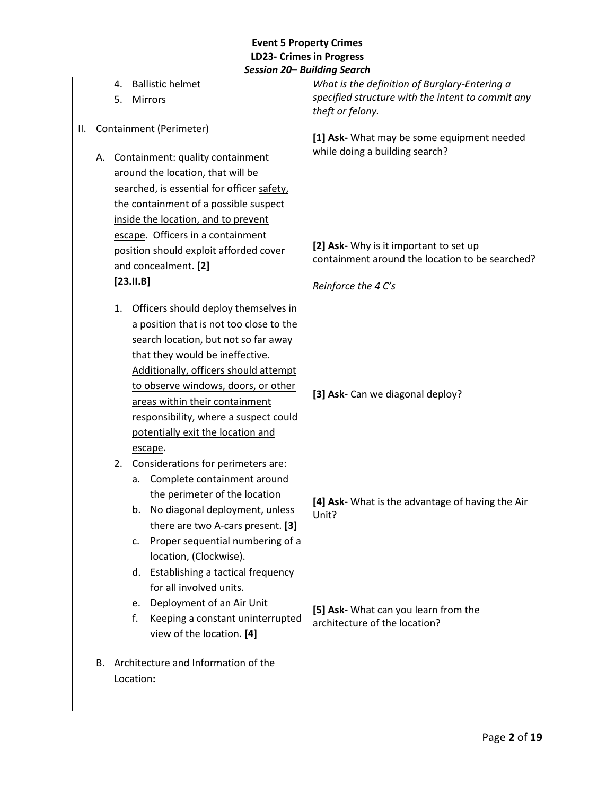|    |    | 4.                                                                                                                                                | <b>Ballistic helmet</b>                    | What is the definition of Burglary-Entering a                                             |
|----|----|---------------------------------------------------------------------------------------------------------------------------------------------------|--------------------------------------------|-------------------------------------------------------------------------------------------|
|    |    | 5.                                                                                                                                                | Mirrors                                    | specified structure with the intent to commit any                                         |
|    |    |                                                                                                                                                   |                                            | theft or felony.                                                                          |
| Ш. |    |                                                                                                                                                   | Containment (Perimeter)                    | [1] Ask- What may be some equipment needed                                                |
|    |    |                                                                                                                                                   |                                            | while doing a building search?                                                            |
|    |    | A. Containment: quality containment                                                                                                               |                                            |                                                                                           |
|    |    | around the location, that will be                                                                                                                 |                                            |                                                                                           |
|    |    |                                                                                                                                                   | searched, is essential for officer safety, |                                                                                           |
|    |    |                                                                                                                                                   | the containment of a possible suspect      |                                                                                           |
|    |    |                                                                                                                                                   | inside the location, and to prevent        |                                                                                           |
|    |    |                                                                                                                                                   | escape. Officers in a containment          |                                                                                           |
|    |    |                                                                                                                                                   | position should exploit afforded cover     | [2] Ask- Why is it important to set up<br>containment around the location to be searched? |
|    |    |                                                                                                                                                   | and concealment. [2]                       |                                                                                           |
|    |    |                                                                                                                                                   | $[23.11.B]$                                | Reinforce the 4 C's                                                                       |
|    |    | 1.                                                                                                                                                | Officers should deploy themselves in       |                                                                                           |
|    |    |                                                                                                                                                   | a position that is not too close to the    |                                                                                           |
|    |    |                                                                                                                                                   | search location, but not so far away       |                                                                                           |
|    |    | that they would be ineffective.<br>Additionally, officers should attempt<br>to observe windows, doors, or other<br>areas within their containment |                                            |                                                                                           |
|    |    |                                                                                                                                                   |                                            |                                                                                           |
|    |    |                                                                                                                                                   |                                            |                                                                                           |
|    |    |                                                                                                                                                   |                                            | [3] Ask- Can we diagonal deploy?                                                          |
|    |    | responsibility, where a suspect could                                                                                                             |                                            |                                                                                           |
|    |    |                                                                                                                                                   | potentially exit the location and          |                                                                                           |
|    |    | escape.                                                                                                                                           |                                            |                                                                                           |
|    |    | 2.                                                                                                                                                | Considerations for perimeters are:         |                                                                                           |
|    |    |                                                                                                                                                   | Complete containment around<br>а.          |                                                                                           |
|    |    |                                                                                                                                                   | the perimeter of the location              |                                                                                           |
|    |    |                                                                                                                                                   | No diagonal deployment, unless<br>b.       | [4] Ask- What is the advantage of having the Air<br>Unit?                                 |
|    |    |                                                                                                                                                   | there are two A-cars present. [3]          |                                                                                           |
|    |    |                                                                                                                                                   | Proper sequential numbering of a<br>c.     |                                                                                           |
|    |    |                                                                                                                                                   | location, (Clockwise).                     |                                                                                           |
|    |    |                                                                                                                                                   | Establishing a tactical frequency<br>d.    |                                                                                           |
|    |    |                                                                                                                                                   | for all involved units.                    |                                                                                           |
|    |    |                                                                                                                                                   | Deployment of an Air Unit<br>e.            |                                                                                           |
|    |    |                                                                                                                                                   | Keeping a constant uninterrupted<br>f.     | [5] Ask- What can you learn from the<br>architecture of the location?                     |
|    |    |                                                                                                                                                   | view of the location. [4]                  |                                                                                           |
|    | В. |                                                                                                                                                   | Architecture and Information of the        |                                                                                           |
|    |    |                                                                                                                                                   | Location:                                  |                                                                                           |
|    |    |                                                                                                                                                   |                                            |                                                                                           |
|    |    |                                                                                                                                                   |                                            |                                                                                           |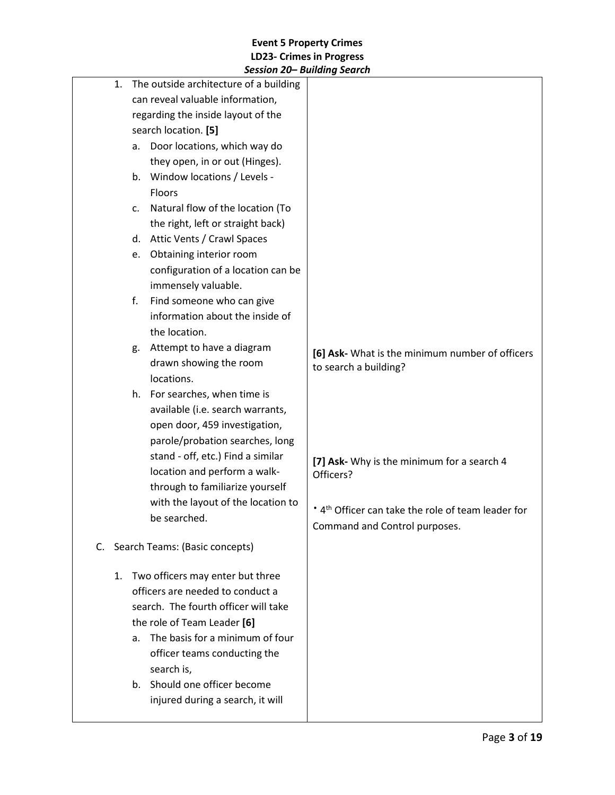|    | JESSIUII ZUT DUIIUIIIŲ JEUIUII                                                                                                                                                                                                                                                                                   |                                                                                                                           |
|----|------------------------------------------------------------------------------------------------------------------------------------------------------------------------------------------------------------------------------------------------------------------------------------------------------------------|---------------------------------------------------------------------------------------------------------------------------|
| 1. | The outside architecture of a building<br>can reveal valuable information,<br>regarding the inside layout of the<br>search location. [5]<br>Door locations, which way do<br>а.<br>they open, in or out (Hinges).<br>Window locations / Levels -<br>b.<br><b>Floors</b><br>Natural flow of the location (To<br>C. |                                                                                                                           |
|    | the right, left or straight back)                                                                                                                                                                                                                                                                                |                                                                                                                           |
|    | d. Attic Vents / Crawl Spaces                                                                                                                                                                                                                                                                                    |                                                                                                                           |
|    | Obtaining interior room<br>e.<br>configuration of a location can be<br>immensely valuable.                                                                                                                                                                                                                       |                                                                                                                           |
|    | Find someone who can give<br>f.<br>information about the inside of<br>the location.                                                                                                                                                                                                                              |                                                                                                                           |
|    | Attempt to have a diagram<br>g.<br>drawn showing the room<br>locations.                                                                                                                                                                                                                                          | [6] Ask- What is the minimum number of officers<br>to search a building?                                                  |
|    | h. For searches, when time is<br>available (i.e. search warrants,<br>open door, 459 investigation,<br>parole/probation searches, long<br>stand - off, etc.) Find a similar<br>location and perform a walk-<br>through to familiarize yourself<br>with the layout of the location to<br>be searched.              | [7] Ask- Why is the minimum for a search 4<br>Officers?<br>* 4 <sup>th</sup> Officer can take the role of team leader for |
| C. | Search Teams: (Basic concepts)                                                                                                                                                                                                                                                                                   | Command and Control purposes.                                                                                             |
| 1. | Two officers may enter but three<br>officers are needed to conduct a<br>search. The fourth officer will take<br>the role of Team Leader [6]<br>The basis for a minimum of four<br>a.<br>officer teams conducting the<br>search is,<br>Should one officer become<br>b.<br>injured during a search, it will        |                                                                                                                           |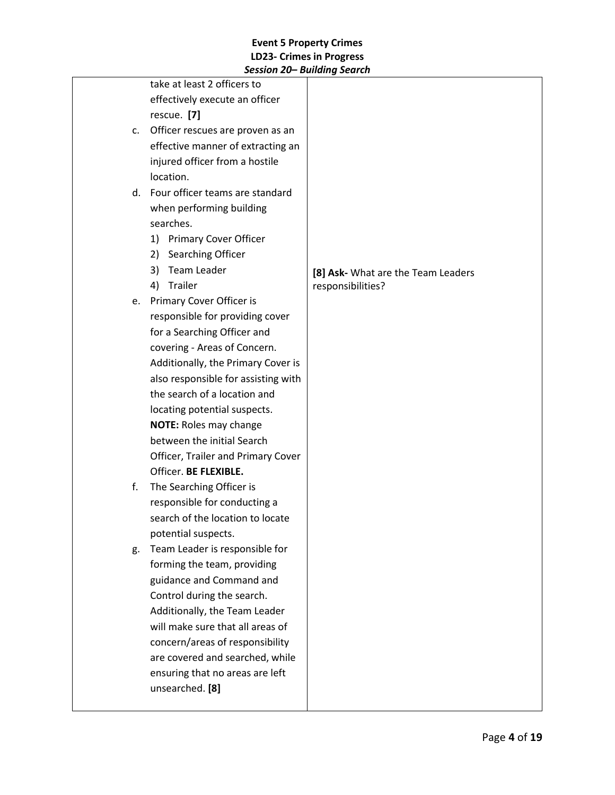|    | 5                                   |                                    |
|----|-------------------------------------|------------------------------------|
|    | take at least 2 officers to         |                                    |
|    | effectively execute an officer      |                                    |
|    | rescue. [7]                         |                                    |
| c. | Officer rescues are proven as an    |                                    |
|    | effective manner of extracting an   |                                    |
|    | injured officer from a hostile      |                                    |
|    | location.                           |                                    |
|    | d. Four officer teams are standard  |                                    |
|    | when performing building            |                                    |
|    | searches.                           |                                    |
|    | <b>Primary Cover Officer</b><br>1)  |                                    |
|    | Searching Officer<br>2)             |                                    |
|    | Team Leader<br>3)                   | [8] Ask- What are the Team Leaders |
|    | Trailer<br>4)                       | responsibilities?                  |
|    | e. Primary Cover Officer is         |                                    |
|    | responsible for providing cover     |                                    |
|    | for a Searching Officer and         |                                    |
|    | covering - Areas of Concern.        |                                    |
|    | Additionally, the Primary Cover is  |                                    |
|    | also responsible for assisting with |                                    |
|    | the search of a location and        |                                    |
|    | locating potential suspects.        |                                    |
|    | <b>NOTE: Roles may change</b>       |                                    |
|    | between the initial Search          |                                    |
|    | Officer, Trailer and Primary Cover  |                                    |
|    | Officer. BE FLEXIBLE.               |                                    |
| f. | The Searching Officer is            |                                    |
|    | responsible for conducting a        |                                    |
|    | search of the location to locate    |                                    |
|    | potential suspects.                 |                                    |
| g. | Team Leader is responsible for      |                                    |
|    | forming the team, providing         |                                    |
|    | guidance and Command and            |                                    |
|    | Control during the search.          |                                    |
|    | Additionally, the Team Leader       |                                    |
|    | will make sure that all areas of    |                                    |
|    | concern/areas of responsibility     |                                    |
|    | are covered and searched, while     |                                    |
|    | ensuring that no areas are left     |                                    |
|    | unsearched. [8]                     |                                    |
|    |                                     |                                    |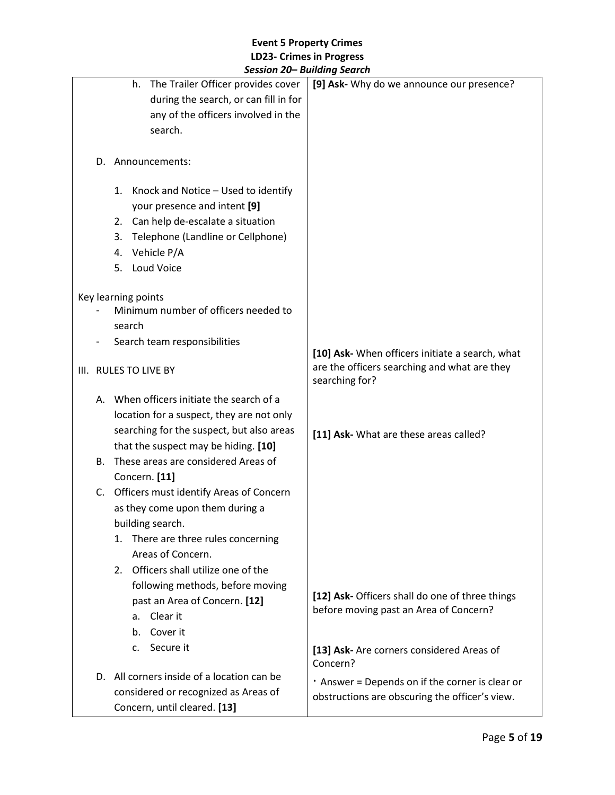|           |                                            | session zu— bananig search                            |
|-----------|--------------------------------------------|-------------------------------------------------------|
|           | The Trailer Officer provides cover<br>h.   | [9] Ask- Why do we announce our presence?             |
|           | during the search, or can fill in for      |                                                       |
|           | any of the officers involved in the        |                                                       |
|           | search.                                    |                                                       |
|           |                                            |                                                       |
|           | D. Announcements:                          |                                                       |
|           |                                            |                                                       |
|           | 1. Knock and Notice - Used to identify     |                                                       |
|           | your presence and intent [9]               |                                                       |
|           | 2. Can help de-escalate a situation        |                                                       |
|           | Telephone (Landline or Cellphone)<br>3.    |                                                       |
|           | Vehicle P/A<br>4.                          |                                                       |
|           | Loud Voice<br>5.                           |                                                       |
|           |                                            |                                                       |
|           | Key learning points                        |                                                       |
|           | Minimum number of officers needed to       |                                                       |
|           | search                                     |                                                       |
|           | Search team responsibilities               |                                                       |
|           |                                            | [10] Ask- When officers initiate a search, what       |
|           | III. RULES TO LIVE BY                      | are the officers searching and what are they          |
|           |                                            | searching for?                                        |
|           | A. When officers initiate the search of a  |                                                       |
|           | location for a suspect, they are not only  |                                                       |
|           | searching for the suspect, but also areas  | [11] Ask- What are these areas called?                |
|           | that the suspect may be hiding. [10]       |                                                       |
| <b>B.</b> | These areas are considered Areas of        |                                                       |
|           | Concern. [11]                              |                                                       |
|           | C. Officers must identify Areas of Concern |                                                       |
|           | as they come upon them during a            |                                                       |
|           | building search.                           |                                                       |
|           | There are three rules concerning<br>1.     |                                                       |
|           | Areas of Concern.                          |                                                       |
|           | 2. Officers shall utilize one of the       |                                                       |
|           | following methods, before moving           |                                                       |
|           | past an Area of Concern. [12]              | [12] Ask- Officers shall do one of three things       |
|           |                                            | before moving past an Area of Concern?                |
|           | Clear it<br>a.                             |                                                       |
|           | Cover it<br>b.                             |                                                       |
|           | Secure it<br>c.                            | [13] Ask- Are corners considered Areas of<br>Concern? |
|           | D. All corners inside of a location can be | . Answer = Depends on if the corner is clear or       |
|           | considered or recognized as Areas of       | obstructions are obscuring the officer's view.        |
|           | Concern, until cleared. [13]               |                                                       |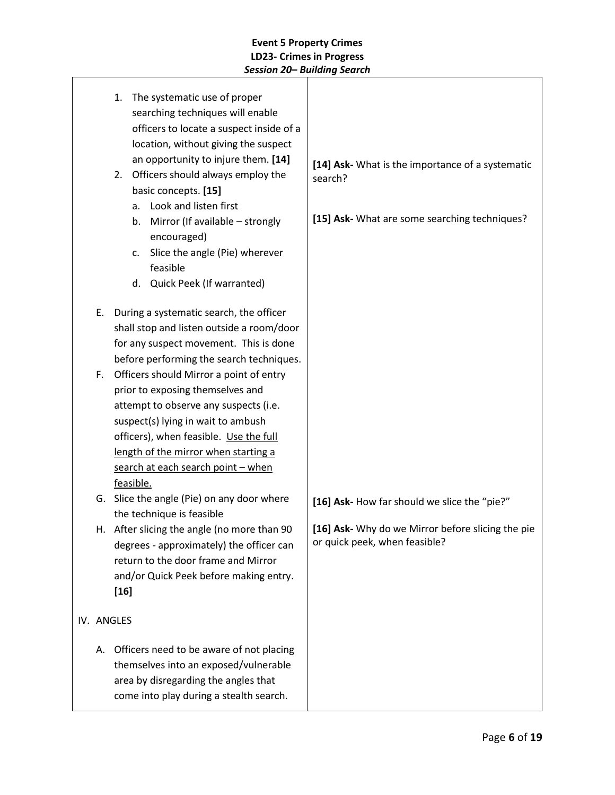| 1. The systematic use of proper<br>searching techniques will enable<br>officers to locate a suspect inside of a<br>location, without giving the suspect<br>an opportunity to injure them. [14]<br>2. Officers should always employ the<br>basic concepts. [15]<br>a. Look and listen first<br>Mirror (If available - strongly<br>b.<br>encouraged)<br>Slice the angle (Pie) wherever<br>c.<br>feasible<br>d. Quick Peek (If warranted) | [14] Ask- What is the importance of a systematic<br>search?<br>[15] Ask- What are some searching techniques? |
|----------------------------------------------------------------------------------------------------------------------------------------------------------------------------------------------------------------------------------------------------------------------------------------------------------------------------------------------------------------------------------------------------------------------------------------|--------------------------------------------------------------------------------------------------------------|
| During a systematic search, the officer<br>Е.<br>shall stop and listen outside a room/door<br>for any suspect movement. This is done<br>before performing the search techniques.                                                                                                                                                                                                                                                       |                                                                                                              |
| Officers should Mirror a point of entry<br>F.<br>prior to exposing themselves and<br>attempt to observe any suspects (i.e.<br>suspect(s) lying in wait to ambush<br>officers), when feasible. Use the full<br>length of the mirror when starting a<br>search at each search point - when<br>feasible.                                                                                                                                  |                                                                                                              |
| G. Slice the angle (Pie) on any door where<br>the technique is feasible                                                                                                                                                                                                                                                                                                                                                                | [16] Ask- How far should we slice the "pie?"                                                                 |
| After slicing the angle (no more than 90)<br>н.<br>degrees - approximately) the officer can<br>return to the door frame and Mirror<br>and/or Quick Peek before making entry.<br>$[16]$                                                                                                                                                                                                                                                 | [16] Ask- Why do we Mirror before slicing the pie<br>or quick peek, when feasible?                           |
| IV. ANGLES                                                                                                                                                                                                                                                                                                                                                                                                                             |                                                                                                              |
| Officers need to be aware of not placing<br>А.<br>themselves into an exposed/vulnerable<br>area by disregarding the angles that<br>come into play during a stealth search.                                                                                                                                                                                                                                                             |                                                                                                              |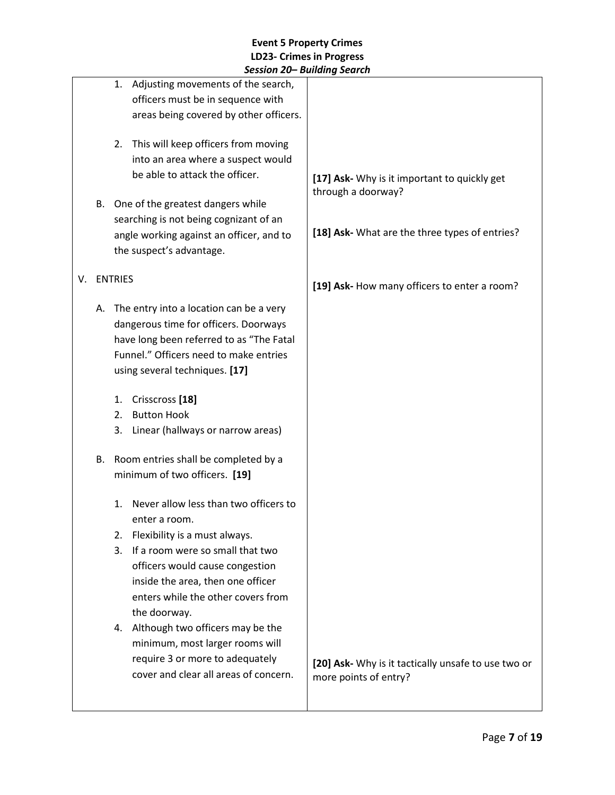|    |    | JESSIUII ZUT DUIIUIIIY JEUI LII                                                                                                                                                                          |                                                                              |
|----|----|----------------------------------------------------------------------------------------------------------------------------------------------------------------------------------------------------------|------------------------------------------------------------------------------|
|    |    | Adjusting movements of the search,<br>1.<br>officers must be in sequence with<br>areas being covered by other officers.                                                                                  |                                                                              |
|    |    | 2. This will keep officers from moving<br>into an area where a suspect would<br>be able to attack the officer.                                                                                           | [17] Ask- Why is it important to quickly get                                 |
|    | В. | One of the greatest dangers while                                                                                                                                                                        | through a doorway?                                                           |
|    |    | searching is not being cognizant of an                                                                                                                                                                   |                                                                              |
|    |    | angle working against an officer, and to                                                                                                                                                                 | [18] Ask- What are the three types of entries?                               |
|    |    | the suspect's advantage.                                                                                                                                                                                 |                                                                              |
| V. |    | <b>ENTRIES</b>                                                                                                                                                                                           |                                                                              |
|    |    |                                                                                                                                                                                                          | [19] Ask- How many officers to enter a room?                                 |
|    | А. | The entry into a location can be a very<br>dangerous time for officers. Doorways<br>have long been referred to as "The Fatal<br>Funnel." Officers need to make entries<br>using several techniques. [17] |                                                                              |
|    |    | Crisscross <sup>[18]</sup><br>1.                                                                                                                                                                         |                                                                              |
|    |    | <b>Button Hook</b><br>2.                                                                                                                                                                                 |                                                                              |
|    |    | Linear (hallways or narrow areas)<br>3.                                                                                                                                                                  |                                                                              |
|    | В. | Room entries shall be completed by a<br>minimum of two officers. [19]                                                                                                                                    |                                                                              |
|    |    | Never allow less than two officers to<br>1.<br>enter a room.                                                                                                                                             |                                                                              |
|    |    | Flexibility is a must always.<br>2.                                                                                                                                                                      |                                                                              |
|    |    | If a room were so small that two<br>3.<br>officers would cause congestion<br>inside the area, then one officer                                                                                           |                                                                              |
|    |    | enters while the other covers from<br>the doorway.                                                                                                                                                       |                                                                              |
|    |    | 4. Although two officers may be the<br>minimum, most larger rooms will<br>require 3 or more to adequately                                                                                                |                                                                              |
|    |    | cover and clear all areas of concern.                                                                                                                                                                    | [20] Ask- Why is it tactically unsafe to use two or<br>more points of entry? |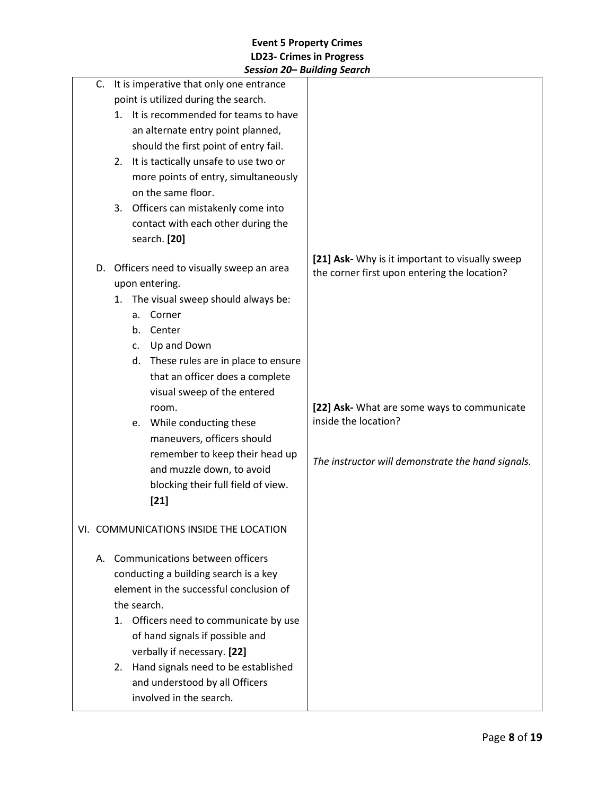|                                                        | JESSIUII ZUT DUIIUIIIŲ JEUIUII              |                                                                                                 |
|--------------------------------------------------------|---------------------------------------------|-------------------------------------------------------------------------------------------------|
|                                                        | C. It is imperative that only one entrance  |                                                                                                 |
|                                                        | point is utilized during the search.        |                                                                                                 |
|                                                        | It is recommended for teams to have<br>1.   |                                                                                                 |
|                                                        | an alternate entry point planned,           |                                                                                                 |
|                                                        | should the first point of entry fail.       |                                                                                                 |
|                                                        | It is tactically unsafe to use two or<br>2. |                                                                                                 |
|                                                        | more points of entry, simultaneously        |                                                                                                 |
|                                                        | on the same floor.                          |                                                                                                 |
|                                                        | 3. Officers can mistakenly come into        |                                                                                                 |
|                                                        | contact with each other during the          |                                                                                                 |
|                                                        | search. [20]                                |                                                                                                 |
| D.                                                     | Officers need to visually sweep an area     | [21] Ask- Why is it important to visually sweep<br>the corner first upon entering the location? |
|                                                        | upon entering.                              |                                                                                                 |
|                                                        | The visual sweep should always be:<br>1.    |                                                                                                 |
|                                                        | Corner<br>a.                                |                                                                                                 |
|                                                        | Center<br>b.                                |                                                                                                 |
|                                                        | Up and Down<br>C.                           |                                                                                                 |
|                                                        | d. These rules are in place to ensure       |                                                                                                 |
|                                                        | that an officer does a complete             |                                                                                                 |
|                                                        | visual sweep of the entered                 |                                                                                                 |
|                                                        | room.                                       | [22] Ask- What are some ways to communicate                                                     |
|                                                        | While conducting these<br>e.                | inside the location?                                                                            |
|                                                        | maneuvers, officers should                  |                                                                                                 |
|                                                        | remember to keep their head up              |                                                                                                 |
|                                                        | and muzzle down, to avoid                   | The instructor will demonstrate the hand signals.                                               |
|                                                        | blocking their full field of view.          |                                                                                                 |
|                                                        | $[21]$                                      |                                                                                                 |
|                                                        |                                             |                                                                                                 |
|                                                        | VI. COMMUNICATIONS INSIDE THE LOCATION      |                                                                                                 |
|                                                        | A. Communications between officers          |                                                                                                 |
|                                                        | conducting a building search is a key       |                                                                                                 |
|                                                        |                                             |                                                                                                 |
| element in the successful conclusion of<br>the search. |                                             |                                                                                                 |
|                                                        |                                             |                                                                                                 |
|                                                        | Officers need to communicate by use<br>1.   |                                                                                                 |
|                                                        | of hand signals if possible and             |                                                                                                 |
|                                                        | verbally if necessary. [22]                 |                                                                                                 |
|                                                        | Hand signals need to be established<br>2.   |                                                                                                 |
|                                                        | and understood by all Officers              |                                                                                                 |
|                                                        | involved in the search.                     |                                                                                                 |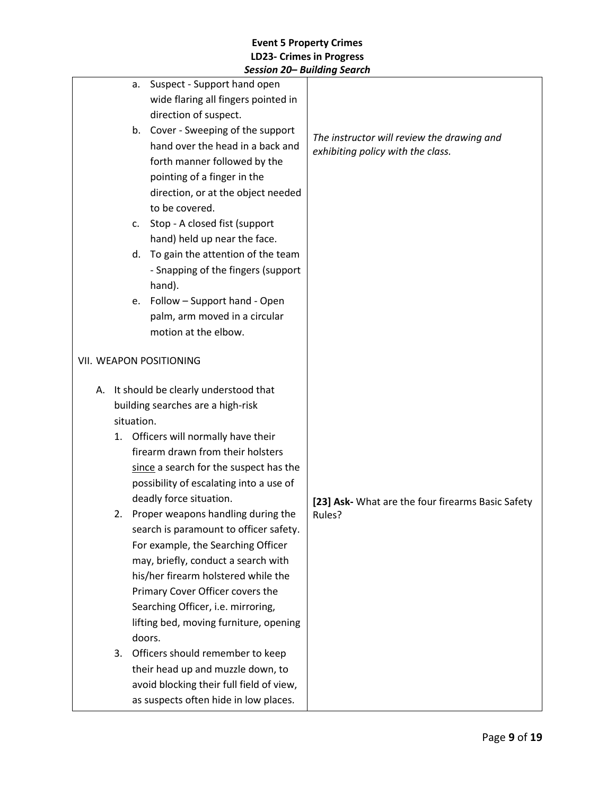|    | Suspect - Support hand open<br>a.            |                                                             |
|----|----------------------------------------------|-------------------------------------------------------------|
|    | wide flaring all fingers pointed in          |                                                             |
|    | direction of suspect.                        |                                                             |
|    |                                              |                                                             |
|    | b. Cover - Sweeping of the support           | The instructor will review the drawing and                  |
|    | hand over the head in a back and             | exhibiting policy with the class.                           |
|    | forth manner followed by the                 |                                                             |
|    | pointing of a finger in the                  |                                                             |
|    | direction, or at the object needed           |                                                             |
|    | to be covered.                               |                                                             |
|    | Stop - A closed fist (support<br>c.          |                                                             |
|    | hand) held up near the face.                 |                                                             |
|    | To gain the attention of the team<br>d.      |                                                             |
|    | - Snapping of the fingers (support<br>hand). |                                                             |
|    | e. Follow - Support hand - Open              |                                                             |
|    | palm, arm moved in a circular                |                                                             |
|    | motion at the elbow.                         |                                                             |
|    |                                              |                                                             |
|    | VII. WEAPON POSITIONING                      |                                                             |
|    | A. It should be clearly understood that      |                                                             |
|    | building searches are a high-risk            |                                                             |
|    | situation.                                   |                                                             |
| 1. | Officers will normally have their            |                                                             |
|    | firearm drawn from their holsters            |                                                             |
|    | since a search for the suspect has the       |                                                             |
|    | possibility of escalating into a use of      |                                                             |
|    | deadly force situation.                      |                                                             |
|    | 2. Proper weapons handling during the        | [23] Ask- What are the four firearms Basic Safety<br>Rules? |
|    | search is paramount to officer safety.       |                                                             |
|    | For example, the Searching Officer           |                                                             |
|    | may, briefly, conduct a search with          |                                                             |
|    | his/her firearm holstered while the          |                                                             |
|    | Primary Cover Officer covers the             |                                                             |
|    | Searching Officer, i.e. mirroring,           |                                                             |
|    | lifting bed, moving furniture, opening       |                                                             |
|    | doors.                                       |                                                             |
| 3. | Officers should remember to keep             |                                                             |
|    | their head up and muzzle down, to            |                                                             |
|    | avoid blocking their full field of view,     |                                                             |
|    | as suspects often hide in low places.        |                                                             |
|    |                                              |                                                             |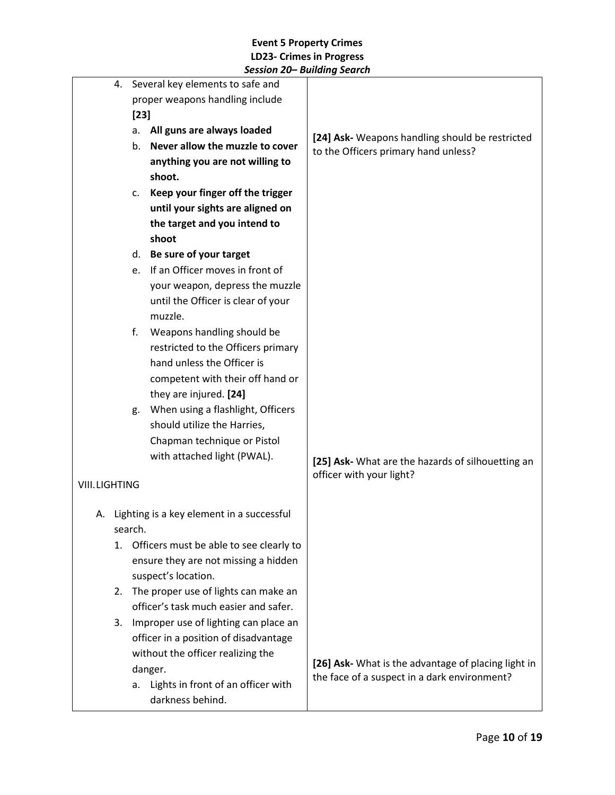|                      |                                       | 4. Several key elements to safe and |                                              |                                                                                                     |
|----------------------|---------------------------------------|-------------------------------------|----------------------------------------------|-----------------------------------------------------------------------------------------------------|
|                      |                                       |                                     | proper weapons handling include              |                                                                                                     |
|                      |                                       | $[23]$                              |                                              |                                                                                                     |
|                      | All guns are always loaded<br>а.      |                                     |                                              |                                                                                                     |
|                      |                                       | b.                                  | Never allow the muzzle to cover              | [24] Ask- Weapons handling should be restricted<br>to the Officers primary hand unless?             |
|                      |                                       |                                     | anything you are not willing to              |                                                                                                     |
|                      |                                       |                                     | shoot.                                       |                                                                                                     |
|                      |                                       | c.                                  | Keep your finger off the trigger             |                                                                                                     |
|                      |                                       |                                     | until your sights are aligned on             |                                                                                                     |
|                      |                                       |                                     | the target and you intend to                 |                                                                                                     |
|                      |                                       |                                     | shoot                                        |                                                                                                     |
|                      |                                       | d.                                  | Be sure of your target                       |                                                                                                     |
|                      |                                       | e.                                  | If an Officer moves in front of              |                                                                                                     |
|                      |                                       |                                     | your weapon, depress the muzzle              |                                                                                                     |
|                      |                                       |                                     | until the Officer is clear of your           |                                                                                                     |
|                      |                                       |                                     | muzzle.                                      |                                                                                                     |
|                      |                                       | f.                                  | Weapons handling should be                   |                                                                                                     |
|                      |                                       |                                     | restricted to the Officers primary           |                                                                                                     |
|                      |                                       |                                     | hand unless the Officer is                   |                                                                                                     |
|                      |                                       |                                     | competent with their off hand or             |                                                                                                     |
|                      |                                       |                                     | they are injured. [24]                       |                                                                                                     |
|                      |                                       | g.                                  | When using a flashlight, Officers            |                                                                                                     |
|                      |                                       |                                     | should utilize the Harries,                  |                                                                                                     |
|                      |                                       |                                     | Chapman technique or Pistol                  |                                                                                                     |
|                      |                                       |                                     | with attached light (PWAL).                  | [25] Ask- What are the hazards of silhouetting an                                                   |
| <b>VIII.LIGHTING</b> |                                       |                                     |                                              | officer with your light?                                                                            |
|                      |                                       |                                     |                                              |                                                                                                     |
|                      |                                       |                                     | A. Lighting is a key element in a successful |                                                                                                     |
|                      |                                       | search.                             |                                              |                                                                                                     |
|                      | 1.                                    |                                     | Officers must be able to see clearly to      |                                                                                                     |
|                      |                                       |                                     | ensure they are not missing a hidden         |                                                                                                     |
|                      |                                       |                                     | suspect's location.                          |                                                                                                     |
|                      | 2.                                    |                                     | The proper use of lights can make an         |                                                                                                     |
|                      |                                       |                                     | officer's task much easier and safer.        |                                                                                                     |
|                      | 3.                                    |                                     | Improper use of lighting can place an        |                                                                                                     |
|                      | officer in a position of disadvantage |                                     |                                              |                                                                                                     |
|                      |                                       |                                     | without the officer realizing the            |                                                                                                     |
|                      |                                       |                                     | danger.                                      | [26] Ask- What is the advantage of placing light in<br>the face of a suspect in a dark environment? |
|                      |                                       | a.                                  | Lights in front of an officer with           |                                                                                                     |
|                      |                                       |                                     | darkness behind.                             |                                                                                                     |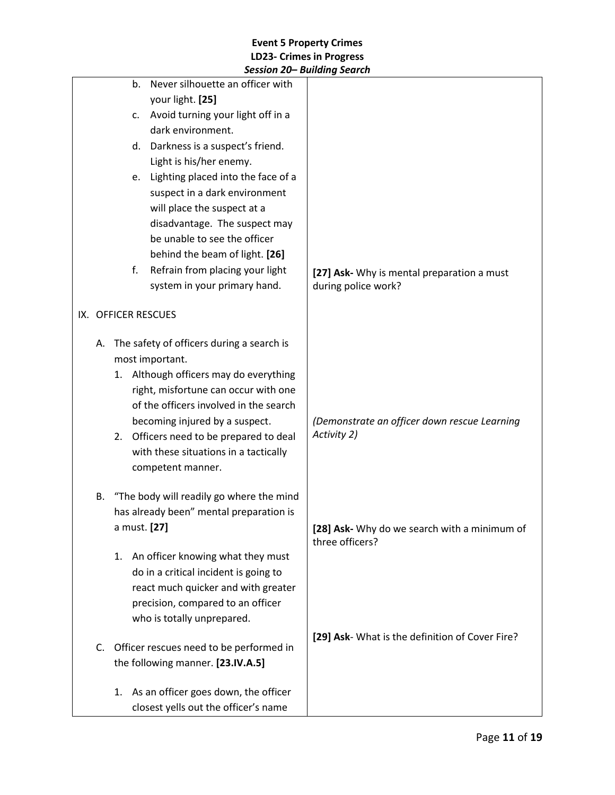|    |                     | Session 20− Building Search               |                                                                 |
|----|---------------------|-------------------------------------------|-----------------------------------------------------------------|
|    | b.                  | Never silhouette an officer with          |                                                                 |
|    |                     | your light. [25]                          |                                                                 |
|    | c.                  | Avoid turning your light off in a         |                                                                 |
|    |                     | dark environment.                         |                                                                 |
|    | d.                  | Darkness is a suspect's friend.           |                                                                 |
|    |                     | Light is his/her enemy.                   |                                                                 |
|    | e.                  | Lighting placed into the face of a        |                                                                 |
|    |                     | suspect in a dark environment             |                                                                 |
|    |                     | will place the suspect at a               |                                                                 |
|    |                     | disadvantage. The suspect may             |                                                                 |
|    |                     | be unable to see the officer              |                                                                 |
|    |                     | behind the beam of light. [26]            |                                                                 |
|    | f.                  | Refrain from placing your light           | [27] Ask- Why is mental preparation a must                      |
|    |                     | system in your primary hand.              | during police work?                                             |
|    |                     |                                           |                                                                 |
|    | IX. OFFICER RESCUES |                                           |                                                                 |
| А. |                     | The safety of officers during a search is |                                                                 |
|    |                     | most important.                           |                                                                 |
|    |                     | 1. Although officers may do everything    |                                                                 |
|    |                     | right, misfortune can occur with one      |                                                                 |
|    |                     | of the officers involved in the search    |                                                                 |
|    |                     | becoming injured by a suspect.            | (Demonstrate an officer down rescue Learning                    |
|    |                     | 2. Officers need to be prepared to deal   | Activity 2)                                                     |
|    |                     | with these situations in a tactically     |                                                                 |
|    |                     | competent manner.                         |                                                                 |
|    |                     |                                           |                                                                 |
| В. |                     | "The body will readily go where the mind  |                                                                 |
|    |                     | has already been" mental preparation is   |                                                                 |
|    | a must. [27]        |                                           | [28] Ask- Why do we search with a minimum of<br>three officers? |
|    | 1.                  | An officer knowing what they must         |                                                                 |
|    |                     | do in a critical incident is going to     |                                                                 |
|    |                     | react much quicker and with greater       |                                                                 |
|    |                     | precision, compared to an officer         |                                                                 |
|    |                     | who is totally unprepared.                |                                                                 |
|    |                     |                                           | [29] Ask- What is the definition of Cover Fire?                 |
| C. |                     | Officer rescues need to be performed in   |                                                                 |
|    |                     | the following manner. [23.IV.A.5]         |                                                                 |
|    |                     |                                           |                                                                 |
|    | 1.                  | As an officer goes down, the officer      |                                                                 |
|    |                     | closest yells out the officer's name      |                                                                 |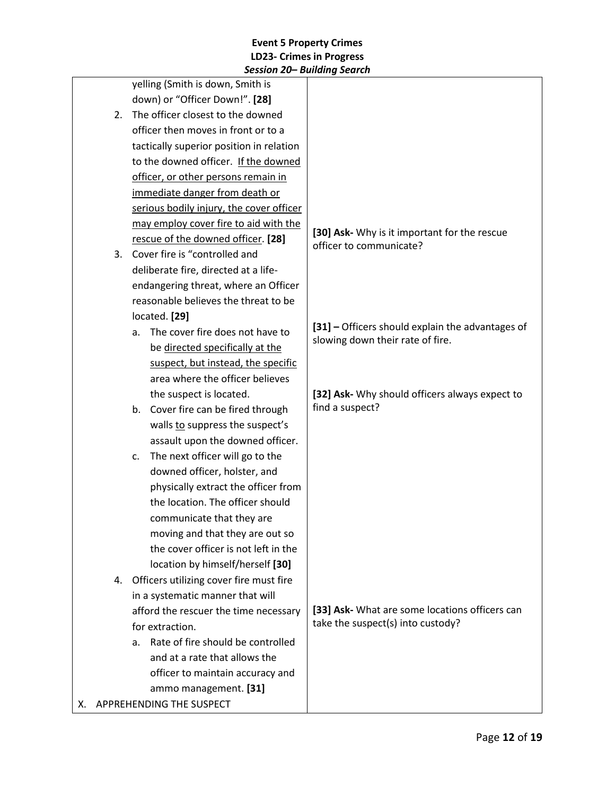|                                               | JESSIUII ZUT DUIIUIIIY JEUI LII          |                                                                                      |
|-----------------------------------------------|------------------------------------------|--------------------------------------------------------------------------------------|
|                                               | yelling (Smith is down, Smith is         |                                                                                      |
|                                               | down) or "Officer Down!". [28]           |                                                                                      |
| The officer closest to the downed<br>2.       |                                          |                                                                                      |
| officer then moves in front or to a           |                                          |                                                                                      |
|                                               | tactically superior position in relation |                                                                                      |
|                                               | to the downed officer. If the downed     |                                                                                      |
|                                               | officer, or other persons remain in      |                                                                                      |
|                                               | immediate danger from death or           |                                                                                      |
|                                               | serious bodily injury, the cover officer |                                                                                      |
|                                               | may employ cover fire to aid with the    |                                                                                      |
|                                               | rescue of the downed officer. [28]       | [30] Ask- Why is it important for the rescue<br>officer to communicate?              |
| 3.                                            | Cover fire is "controlled and            |                                                                                      |
|                                               | deliberate fire, directed at a life-     |                                                                                      |
|                                               | endangering threat, where an Officer     |                                                                                      |
|                                               | reasonable believes the threat to be     |                                                                                      |
|                                               | located. [29]                            |                                                                                      |
|                                               | The cover fire does not have to<br>a.    | [31] - Officers should explain the advantages of<br>slowing down their rate of fire. |
|                                               | be directed specifically at the          |                                                                                      |
|                                               | suspect, but instead, the specific       |                                                                                      |
|                                               | area where the officer believes          |                                                                                      |
|                                               | the suspect is located.                  | [32] Ask- Why should officers always expect to                                       |
|                                               | b. Cover fire can be fired through       | find a suspect?                                                                      |
|                                               | walls to suppress the suspect's          |                                                                                      |
|                                               | assault upon the downed officer.         |                                                                                      |
|                                               | The next officer will go to the<br>c.    |                                                                                      |
|                                               | downed officer, holster, and             |                                                                                      |
|                                               | physically extract the officer from      |                                                                                      |
|                                               | the location. The officer should         |                                                                                      |
|                                               | communicate that they are                |                                                                                      |
|                                               | moving and that they are out so          |                                                                                      |
|                                               | the cover officer is not left in the     |                                                                                      |
|                                               | location by himself/herself [30]         |                                                                                      |
| Officers utilizing cover fire must fire<br>4. |                                          |                                                                                      |
|                                               | in a systematic manner that will         |                                                                                      |
| afford the rescuer the time necessary         |                                          | [33] Ask- What are some locations officers can                                       |
|                                               | for extraction.                          | take the suspect(s) into custody?                                                    |
|                                               | Rate of fire should be controlled<br>a.  |                                                                                      |
|                                               | and at a rate that allows the            |                                                                                      |
|                                               | officer to maintain accuracy and         |                                                                                      |
|                                               | ammo management. [31]                    |                                                                                      |
|                                               | X. APPREHENDING THE SUSPECT              |                                                                                      |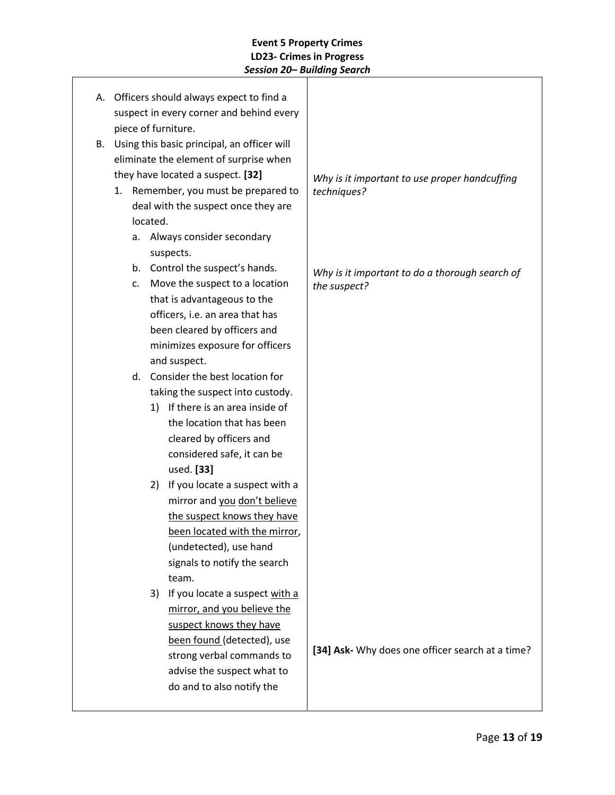|    |                |          | A. Officers should always expect to find a  |                                                  |
|----|----------------|----------|---------------------------------------------|--------------------------------------------------|
|    |                |          | suspect in every corner and behind every    |                                                  |
|    |                |          | piece of furniture.                         |                                                  |
| В. |                |          | Using this basic principal, an officer will |                                                  |
|    |                |          | eliminate the element of surprise when      |                                                  |
|    |                |          | they have located a suspect. [32]           | Why is it important to use proper handcuffing    |
|    |                |          | 1. Remember, you must be prepared to        | techniques?                                      |
|    |                |          | deal with the suspect once they are         |                                                  |
|    |                | located. |                                             |                                                  |
|    | a.             |          | Always consider secondary                   |                                                  |
|    |                |          | suspects.                                   |                                                  |
|    |                |          | b. Control the suspect's hands.             | Why is it important to do a thorough search of   |
|    | $\mathsf{C}$ . |          | Move the suspect to a location              | the suspect?                                     |
|    |                |          | that is advantageous to the                 |                                                  |
|    |                |          | officers, i.e. an area that has             |                                                  |
|    |                |          | been cleared by officers and                |                                                  |
|    |                |          | minimizes exposure for officers             |                                                  |
|    |                |          | and suspect.                                |                                                  |
|    | d.             |          | Consider the best location for              |                                                  |
|    |                |          | taking the suspect into custody.            |                                                  |
|    |                |          | 1) If there is an area inside of            |                                                  |
|    |                |          | the location that has been                  |                                                  |
|    |                |          | cleared by officers and                     |                                                  |
|    |                |          | considered safe, it can be                  |                                                  |
|    |                |          | used. [33]                                  |                                                  |
|    |                | 2)       | If you locate a suspect with a              |                                                  |
|    |                |          | mirror and you don't believe                |                                                  |
|    |                |          | the suspect knows they have                 |                                                  |
|    |                |          | been located with the mirror,               |                                                  |
|    |                |          | (undetected), use hand                      |                                                  |
|    |                |          | signals to notify the search                |                                                  |
|    |                |          | team.                                       |                                                  |
|    |                | 3)       | If you locate a suspect with a              |                                                  |
|    |                |          | mirror, and you believe the                 |                                                  |
|    |                |          | suspect knows they have                     |                                                  |
|    |                |          | been found (detected), use                  | [34] Ask- Why does one officer search at a time? |
|    |                |          | strong verbal commands to                   |                                                  |
|    |                |          | advise the suspect what to                  |                                                  |
|    |                |          | do and to also notify the                   |                                                  |
|    |                |          |                                             |                                                  |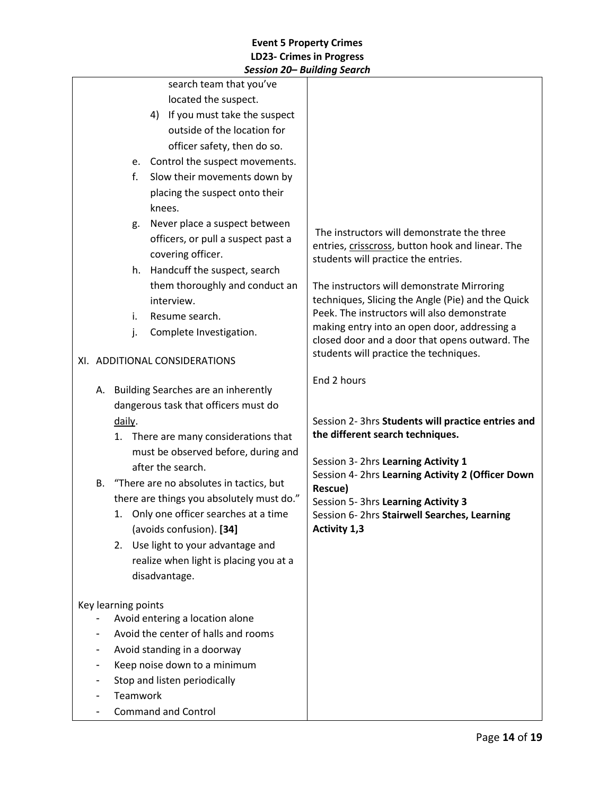|                               |                                                                                         |                                        | session zu— bananig search                                                                     |
|-------------------------------|-----------------------------------------------------------------------------------------|----------------------------------------|------------------------------------------------------------------------------------------------|
|                               |                                                                                         | search team that you've                |                                                                                                |
|                               |                                                                                         | located the suspect.                   |                                                                                                |
|                               |                                                                                         | 4) If you must take the suspect        |                                                                                                |
|                               |                                                                                         | outside of the location for            |                                                                                                |
|                               |                                                                                         | officer safety, then do so.            |                                                                                                |
|                               |                                                                                         | e. Control the suspect movements.      |                                                                                                |
|                               | f.                                                                                      | Slow their movements down by           |                                                                                                |
|                               |                                                                                         | placing the suspect onto their         |                                                                                                |
|                               |                                                                                         | knees.                                 |                                                                                                |
|                               | g.                                                                                      | Never place a suspect between          |                                                                                                |
|                               |                                                                                         | officers, or pull a suspect past a     | The instructors will demonstrate the three<br>entries, crisscross, button hook and linear. The |
|                               |                                                                                         | covering officer.                      | students will practice the entries.                                                            |
|                               | h.                                                                                      | Handcuff the suspect, search           |                                                                                                |
|                               |                                                                                         | them thoroughly and conduct an         | The instructors will demonstrate Mirroring                                                     |
|                               |                                                                                         | interview.                             | techniques, Slicing the Angle (Pie) and the Quick                                              |
|                               | i.                                                                                      | Resume search.                         | Peek. The instructors will also demonstrate                                                    |
|                               | j.                                                                                      | Complete Investigation.                | making entry into an open door, addressing a                                                   |
|                               |                                                                                         |                                        | closed door and a door that opens outward. The<br>students will practice the techniques.       |
| XI. ADDITIONAL CONSIDERATIONS |                                                                                         |                                        |                                                                                                |
|                               |                                                                                         |                                        | End 2 hours                                                                                    |
|                               |                                                                                         | A. Building Searches are an inherently |                                                                                                |
|                               |                                                                                         | dangerous task that officers must do   |                                                                                                |
|                               | daily.                                                                                  |                                        | Session 2- 3hrs Students will practice entries and                                             |
|                               |                                                                                         | 1. There are many considerations that  | the different search techniques.                                                               |
|                               |                                                                                         | must be observed before, during and    | Session 3- 2hrs Learning Activity 1                                                            |
|                               |                                                                                         | after the search.                      | Session 4- 2hrs Learning Activity 2 (Officer Down                                              |
|                               | B. "There are no absolutes in tactics, but<br>there are things you absolutely must do." |                                        | Rescue)                                                                                        |
|                               |                                                                                         |                                        | Session 5- 3hrs Learning Activity 3                                                            |
|                               |                                                                                         | 1. Only one officer searches at a time | Session 6-2hrs Stairwell Searches, Learning                                                    |
|                               |                                                                                         | (avoids confusion). [34]               | Activity 1,3                                                                                   |
|                               | 2.                                                                                      | Use light to your advantage and        |                                                                                                |
|                               |                                                                                         | realize when light is placing you at a |                                                                                                |
|                               |                                                                                         | disadvantage.                          |                                                                                                |
|                               |                                                                                         |                                        |                                                                                                |
|                               | Key learning points                                                                     | Avoid entering a location alone        |                                                                                                |
|                               |                                                                                         | Avoid the center of halls and rooms    |                                                                                                |
|                               |                                                                                         | Avoid standing in a doorway            |                                                                                                |
|                               |                                                                                         | Keep noise down to a minimum           |                                                                                                |
|                               |                                                                                         | Stop and listen periodically           |                                                                                                |
|                               | Teamwork                                                                                |                                        |                                                                                                |
|                               |                                                                                         | <b>Command and Control</b>             |                                                                                                |
|                               |                                                                                         |                                        |                                                                                                |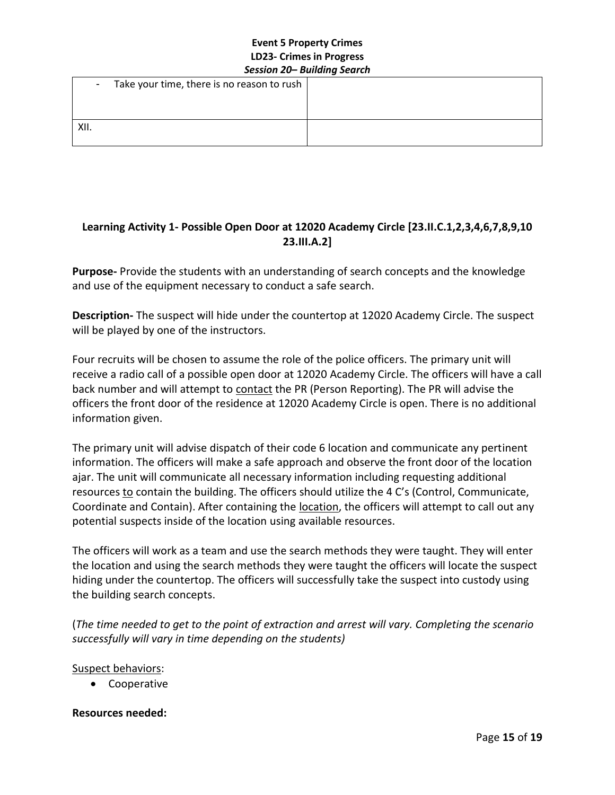|      | _ _ _ _ _                                    | --<br>- - - |
|------|----------------------------------------------|-------------|
|      | - Take your time, there is no reason to rush |             |
|      |                                              |             |
| XII. |                                              |             |
|      |                                              |             |

# **Learning Activity 1- Possible Open Door at 12020 Academy Circle [23.II.C.1,2,3,4,6,7,8,9,10 23.III.A.2]**

**Purpose-** Provide the students with an understanding of search concepts and the knowledge and use of the equipment necessary to conduct a safe search.

**Description-** The suspect will hide under the countertop at 12020 Academy Circle. The suspect will be played by one of the instructors.

Four recruits will be chosen to assume the role of the police officers. The primary unit will receive a radio call of a possible open door at 12020 Academy Circle. The officers will have a call back number and will attempt to contact the PR (Person Reporting). The PR will advise the officers the front door of the residence at 12020 Academy Circle is open. There is no additional information given.

The primary unit will advise dispatch of their code 6 location and communicate any pertinent information. The officers will make a safe approach and observe the front door of the location ajar. The unit will communicate all necessary information including requesting additional resources to contain the building. The officers should utilize the 4 C's (Control, Communicate, Coordinate and Contain). After containing the **location**, the officers will attempt to call out any potential suspects inside of the location using available resources.

The officers will work as a team and use the search methods they were taught. They will enter the location and using the search methods they were taught the officers will locate the suspect hiding under the countertop. The officers will successfully take the suspect into custody using the building search concepts.

(*The time needed to get to the point of extraction and arrest will vary. Completing the scenario successfully will vary in time depending on the students)* 

### Suspect behaviors:

• Cooperative

### **Resources needed:**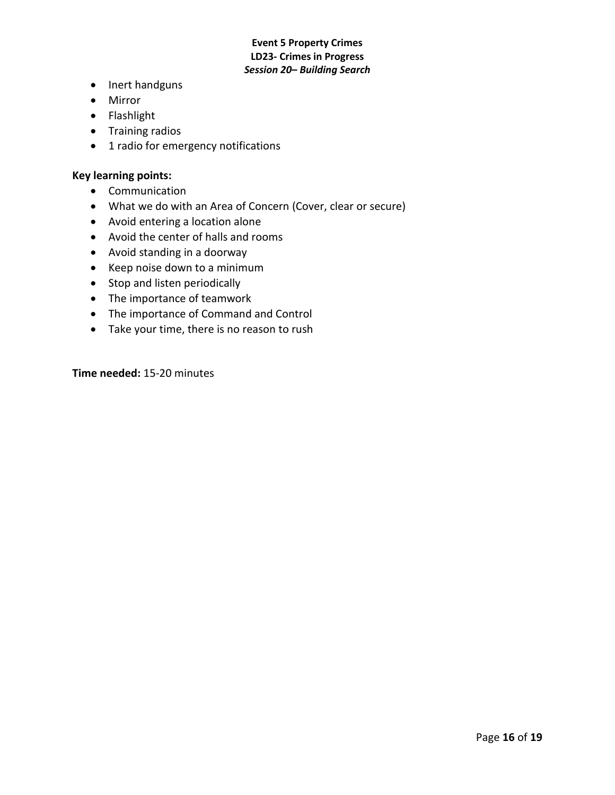- Inert handguns
- Mirror
- Flashlight
- Training radios
- 1 radio for emergency notifications

#### **Key learning points:**

- Communication
- What we do with an Area of Concern (Cover, clear or secure)
- Avoid entering a location alone
- Avoid the center of halls and rooms
- Avoid standing in a doorway
- Keep noise down to a minimum
- Stop and listen periodically
- The importance of teamwork
- The importance of Command and Control
- Take your time, there is no reason to rush

**Time needed:** 15-20 minutes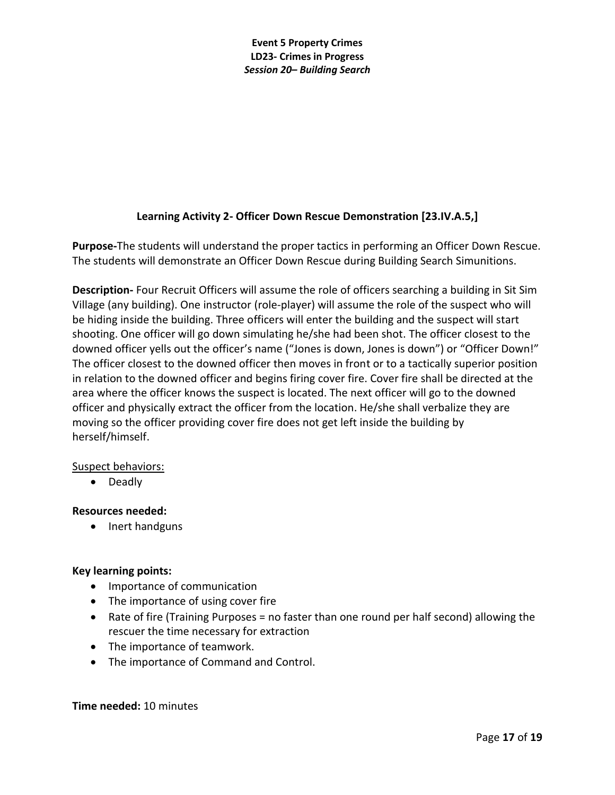# **Learning Activity 2- Officer Down Rescue Demonstration [23.IV.A.5,]**

**Purpose-**The students will understand the proper tactics in performing an Officer Down Rescue. The students will demonstrate an Officer Down Rescue during Building Search Simunitions.

**Description-** Four Recruit Officers will assume the role of officers searching a building in Sit Sim Village (any building). One instructor (role-player) will assume the role of the suspect who will be hiding inside the building. Three officers will enter the building and the suspect will start shooting. One officer will go down simulating he/she had been shot. The officer closest to the downed officer yells out the officer's name ("Jones is down, Jones is down") or "Officer Down!" The officer closest to the downed officer then moves in front or to a tactically superior position in relation to the downed officer and begins firing cover fire. Cover fire shall be directed at the area where the officer knows the suspect is located. The next officer will go to the downed officer and physically extract the officer from the location. He/she shall verbalize they are moving so the officer providing cover fire does not get left inside the building by herself/himself.

### Suspect behaviors:

• Deadly

### **Resources needed:**

• Inert handguns

# **Key learning points:**

- Importance of communication
- The importance of using cover fire
- Rate of fire (Training Purposes = no faster than one round per half second) allowing the rescuer the time necessary for extraction
- The importance of teamwork.
- The importance of Command and Control.

### **Time needed:** 10 minutes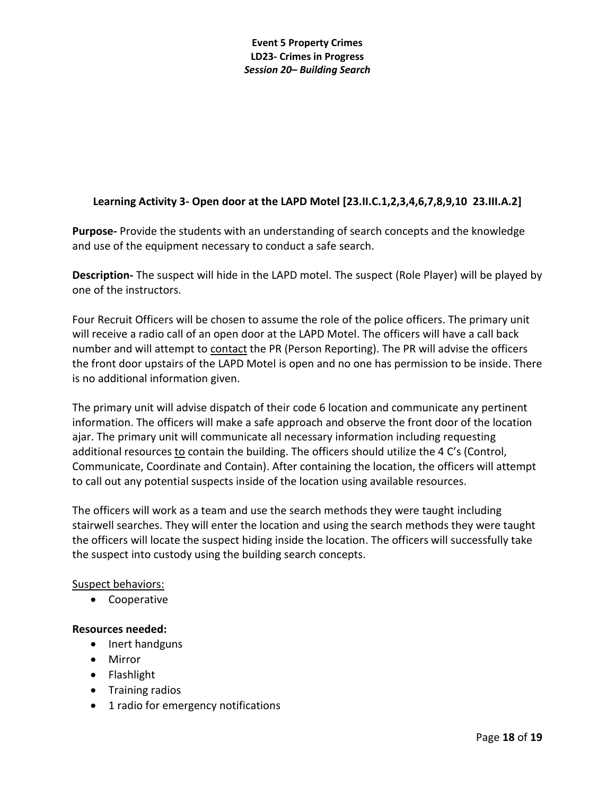# **Learning Activity 3- Open door at the LAPD Motel [23.II.C.1,2,3,4,6,7,8,9,10 23.III.A.2]**

**Purpose-** Provide the students with an understanding of search concepts and the knowledge and use of the equipment necessary to conduct a safe search.

**Description-** The suspect will hide in the LAPD motel. The suspect (Role Player) will be played by one of the instructors.

Four Recruit Officers will be chosen to assume the role of the police officers. The primary unit will receive a radio call of an open door at the LAPD Motel. The officers will have a call back number and will attempt to contact the PR (Person Reporting). The PR will advise the officers the front door upstairs of the LAPD Motel is open and no one has permission to be inside. There is no additional information given.

The primary unit will advise dispatch of their code 6 location and communicate any pertinent information. The officers will make a safe approach and observe the front door of the location ajar. The primary unit will communicate all necessary information including requesting additional resources to contain the building. The officers should utilize the 4 C's (Control, Communicate, Coordinate and Contain). After containing the location, the officers will attempt to call out any potential suspects inside of the location using available resources.

The officers will work as a team and use the search methods they were taught including stairwell searches. They will enter the location and using the search methods they were taught the officers will locate the suspect hiding inside the location. The officers will successfully take the suspect into custody using the building search concepts.

### Suspect behaviors:

• Cooperative

### **Resources needed:**

- Inert handguns
- Mirror
- Flashlight
- Training radios
- 1 radio for emergency notifications